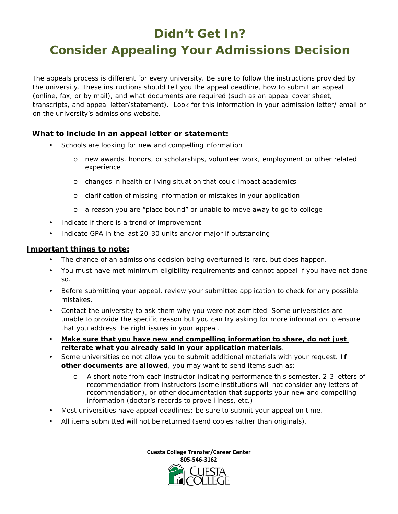## **Didn't Get In?**

## **Consider Appealing Your Admissions Decision**

The appeals process is different for every university. Be sure to follow the instructions provided by the university. These instructions should tell you the appeal deadline, how to submit an appeal (online, fax, or by mail), and what documents are required (such as an appeal cover sheet, transcripts, and appeal letter/statement). Look for this information in your admission letter/ email or on the university's admissions website.

### **What to include in an appeal letter or statement:**

- Schools are looking for new and compelling information
	- o new awards, honors, or scholarships, volunteer work, employment or other related experience
	- o changes in health or living situation that could impact academics
	- o clarification of missing information or mistakes in your application
	- o a reason you are "place bound" or unable to move away to go to college
- Indicate if there is a trend of improvement
- Indicate GPA in the last 20-30 units and/or major if outstanding

#### **Important things to note:**

- The chance of an admissions decision being overturned is rare, but does happen.
- You must have met minimum eligibility requirements and cannot appeal if you have not done so.
- Before submitting your appeal, review your submitted application to check for any possible mistakes.
- Contact the university to ask them why you were not admitted. Some universities are unable to provide the specific reason but you can try asking for more information to ensure that you address the right issues in your appeal.
- **Make sure that you have new and compelling information to share, do not just reiterate what you already said in your application materials**.
- Some universities do not allow you to submit additional materials with your request. **If other documents are allowed**, you may want to send items such as:
	- A short note from each instructor indicating performance this semester, 2-3 letters of recommendation from instructors (some institutions will not consider any letters of recommendation), or other documentation that supports your new and compelling information (doctor's records to prove illness, etc.)
- Most universities have appeal deadlines; be sure to submit your appeal on time.
- All items submitted will not be returned (send copies rather than originals).

**Cuesta College Transfer/Career Center 805-546-3162**